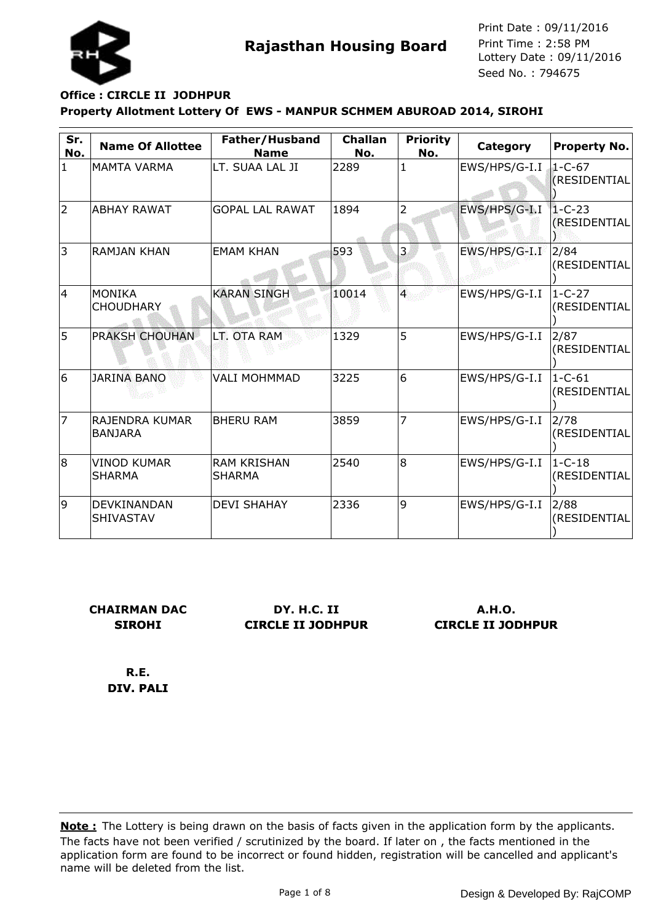

### **Property Allotment Lottery Of EWS - MANPUR SCHMEM ABUROAD 2014, SIROHI Office : CIRCLE II JODHPUR**

| Sr.<br>No.   | <b>Name Of Allottee</b>             | Father/Husband<br><b>Name</b>       | <b>Challan</b><br>No. | <b>Priority</b><br>No. | Category      | <b>Property No.</b>             |
|--------------|-------------------------------------|-------------------------------------|-----------------------|------------------------|---------------|---------------------------------|
| $\mathbf{1}$ | <b>MAMTA VARMA</b>                  | LT. SUAA LAL JI                     | 2289                  | $\mathbf{1}$           | EWS/HPS/G-I.I | $1-C-67$<br><b>(RESIDENTIAL</b> |
| 2            | ABHAY RAWAT                         | <b>GOPAL LAL RAWAT</b>              | 1894                  | 2                      | EWS/HPS/G-I.I | $1 - C - 23$<br>(RESIDENTIAL    |
| 3            | <b>RAMJAN KHAN</b>                  | <b>EMAM KHAN</b>                    | 593                   | 3                      | EWS/HPS/G-I.I | 2/84<br>(RESIDENTIAL            |
| 14           | <b>MONIKA</b><br><b>CHOUDHARY</b>   | <b>KARAN SINGH</b>                  | 10014                 | $\overline{4}$         | EWS/HPS/G-I.I | $1 - C - 27$<br>(RESIDENTIAL    |
| 5            | <b>PRAKSH CHOUHAN</b>               | LT. OTA RAM                         | 1329                  | 5                      | EWS/HPS/G-I.I | 2/87<br>(RESIDENTIAL            |
| 6            | <b>JARINA BANO</b>                  | <b>VALI MOHMMAD</b>                 | 3225                  | 6                      | EWS/HPS/G-I.I | $1 - C - 61$<br>(RESIDENTIAL    |
| 17           | RAJENDRA KUMAR<br><b>BANJARA</b>    | <b>BHERU RAM</b>                    | 3859                  | 7                      | EWS/HPS/G-I.I | 2/78<br>(RESIDENTIAL            |
| 8            | <b>VINOD KUMAR</b><br><b>SHARMA</b> | <b>RAM KRISHAN</b><br><b>SHARMA</b> | 2540                  | l8                     | EWS/HPS/G-I.I | $1 - C - 18$<br>(RESIDENTIAL    |
| 9            | <b>DEVKINANDAN</b><br>SHIVASTAV     | <b>DEVI SHAHAY</b>                  | 2336                  | 9                      | EWS/HPS/G-I.I | 2/88<br>(RESIDENTIAL            |

**CHAIRMAN DAC SIROHI**

**DY. H.C. II CIRCLE II JODHPUR**

**A.H.O. CIRCLE II JODHPUR**

**R.E. DIV. PALI**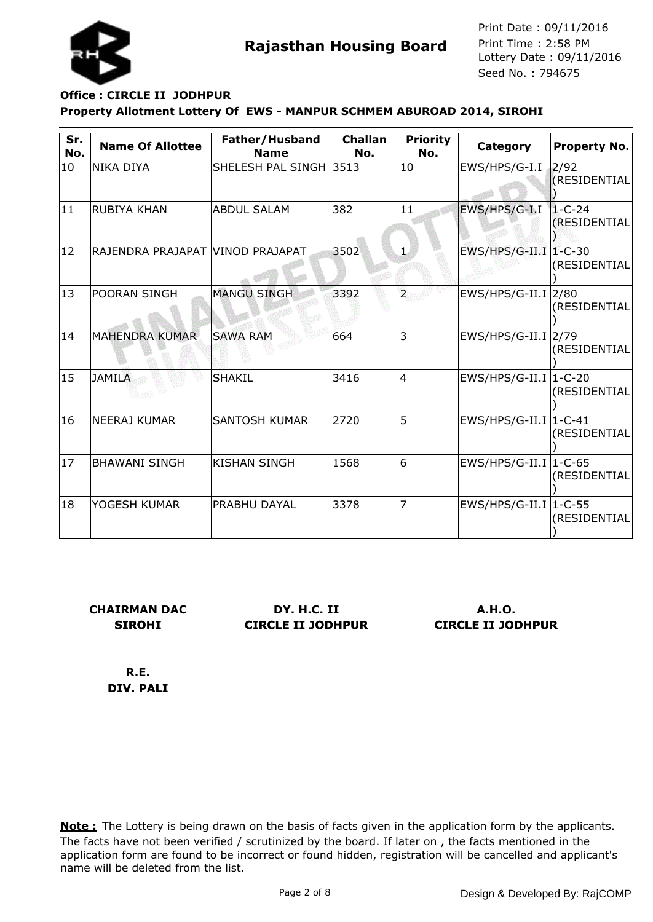

# **Property Allotment Lottery Of EWS - MANPUR SCHMEM ABUROAD 2014, SIROHI Office : CIRCLE II JODHPUR**

| Sr.<br>No.   | <b>Name Of Allottee</b>          | Father/Husband<br><b>Name</b> | <b>Challan</b><br>No. | <b>Priority</b><br>No.  | Category                           | <b>Property No.</b>          |
|--------------|----------------------------------|-------------------------------|-----------------------|-------------------------|------------------------------------|------------------------------|
| 10           | NIKA DIYA                        | SHELESH PAL SINGH 3513        |                       | 10                      | EWS/HPS/G-I.I                      | 2/92<br>(RESIDENTIAL)        |
| 11           | <b>RUBIYA KHAN</b>               | <b>ABDUL SALAM</b>            | 382                   | 11                      | EWS/HPS/G-I.I                      | $1 - C - 24$<br>(RESIDENTIAL |
| $ 12\rangle$ | RAJENDRA PRAJAPAT VINOD PRAJAPAT |                               | 3502                  | $\mathbf{1}$            | $EWS/HPS/G-II.I$                   | $1 - C - 30$<br>(RESIDENTIAL |
| $ 13\rangle$ | POORAN SINGH                     | <b>MANGU SINGH</b>            | 3392                  | $\overline{\mathbf{2}}$ | EWS/HPS/G-II.I  2/80               | (RESIDENTIAL                 |
| 14           | <b>MAHENDRA KUMAR</b>            | <b>SAWA RAM</b>               | 664                   | 3                       | $EWS/HPS/G-II.I$ <sup>2/79</sup>   | (RESIDENTIAL                 |
| 15           | <b>JAMILA</b>                    | <b>SHAKIL</b>                 | 3416                  | 4                       | $EWS/HPS/G-II.I$ <sup>1-C-20</sup> | (RESIDENTIAL                 |
| 16           | <b>NEERAJ KUMAR</b>              | <b>SANTOSH KUMAR</b>          | 2720                  | 5                       | $EWS/HPS/G-II.I$ <sup>1-C-41</sup> | (RESIDENTIAL                 |
| 17           | <b>BHAWANI SINGH</b>             | <b>KISHAN SINGH</b>           | 1568                  | 16                      | $EWS/HPS/G-II.I$ <sup>1-C-65</sup> | (RESIDENTIAL                 |
| 18           | YOGESH KUMAR                     | <b>PRABHU DAYAL</b>           | 3378                  | 7                       | EWS/HPS/G-II.I $ 1$ -C-55          | (RESIDENTIAL                 |

**CHAIRMAN DAC SIROHI**

**DY. H.C. II CIRCLE II JODHPUR**

**A.H.O. CIRCLE II JODHPUR**

**R.E. DIV. PALI**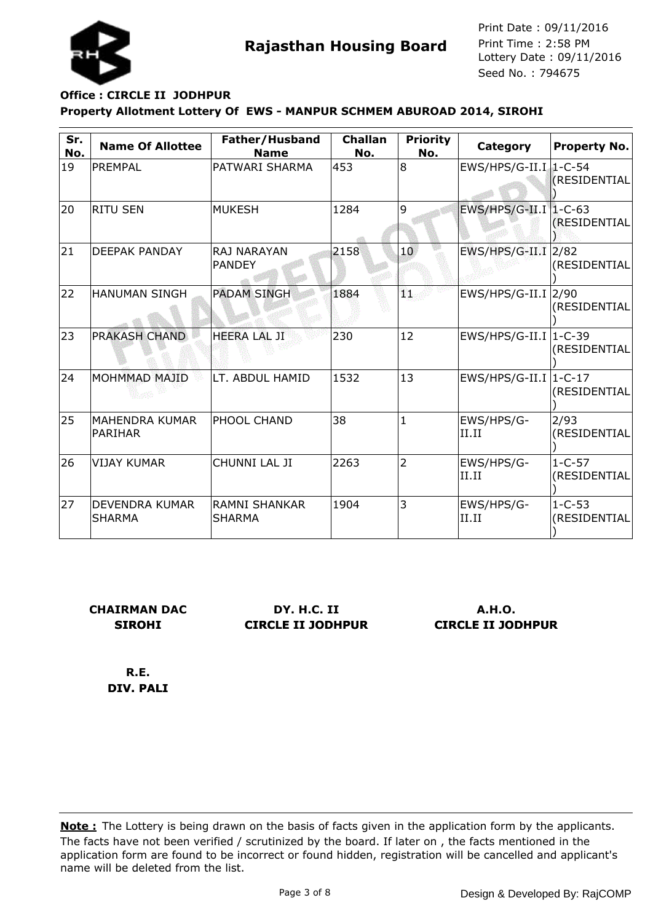

### **Property Allotment Lottery Of EWS - MANPUR SCHMEM ABUROAD 2014, SIROHI Office : CIRCLE II JODHPUR**

| Sr.<br>No. | <b>Name Of Allottee</b>                 | Father/Husband<br><b>Name</b>         | <b>Challan</b><br>No. | <b>Priority</b><br>No. | Category                           | <b>Property No.</b>          |
|------------|-----------------------------------------|---------------------------------------|-----------------------|------------------------|------------------------------------|------------------------------|
| 19         | PREMPAL                                 | PATWARI SHARMA                        | 453                   | 8                      | $EWS/HPS/G-II.I$ 1-C-54            | (RESIDENTIAL                 |
| 20         | <b>RITU SEN</b>                         | <b>MUKESH</b>                         | 1284                  | 9                      | EWS/HPS/G-II.I 1-C-63              | (RESIDENTIAL                 |
| 21         | <b>DEEPAK PANDAY</b>                    | <b>RAJ NARAYAN</b><br><b>PANDEY</b>   | 2158                  | 10 <sub>1</sub>        | $EWS/HPS/G-II.I$ <sub>2/82</sub>   | (RESIDENTIAL                 |
| 22         | <b>HANUMAN SINGH</b>                    | <b>PADAM SINGH</b>                    | 1884                  | ٩ï.                    | $EWS/HPS/G-II.I$ <sup>2/90</sup>   | (RESIDENTIAL                 |
| 23         | <b>PRAKASH CHAND</b>                    | <b>HEERA LAL JI</b>                   | 230                   | 12                     | $EWS/HPS/G-II.I$ <sup>1-C-39</sup> | (RESIDENTIAL                 |
| 24         | MOHMMAD MAJID                           | LT. ABDUL HAMID                       | 1532                  | 13                     | EWS/HPS/G-II.I   1-C-17            | (RESIDENTIAL                 |
| 25         | <b>MAHENDRA KUMAR</b><br><b>PARIHAR</b> | PHOOL CHAND                           | 38                    | $\mathbf{1}$           | EWS/HPS/G-<br>II.II                | 2/93<br>(RESIDENTIAL         |
| 26         | <b>VIJAY KUMAR</b>                      | CHUNNI LAL JI                         | 2263                  | $\overline{2}$         | EWS/HPS/G-<br>II.II                | $1 - C - 57$<br>(RESIDENTIAL |
| 27         | DEVENDRA KUMAR<br><b>SHARMA</b>         | <b>RAMNI SHANKAR</b><br><b>SHARMA</b> | 1904                  | 3                      | EWS/HPS/G-<br>II.II                | $1 - C - 53$<br>(RESIDENTIAL |

**CHAIRMAN DAC SIROHI**

**DY. H.C. II CIRCLE II JODHPUR**

**A.H.O. CIRCLE II JODHPUR**

**R.E. DIV. PALI**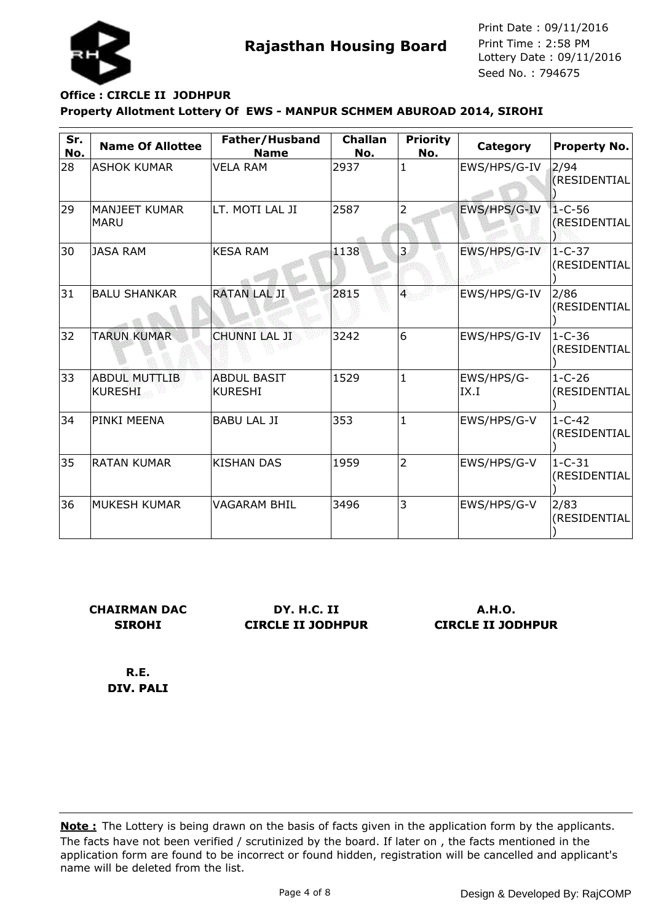

### **Property Allotment Lottery Of EWS - MANPUR SCHMEM ABUROAD 2014, SIROHI Office : CIRCLE II JODHPUR**

| Sr.<br>No. | <b>Name Of Allottee</b>                | Father/Husband<br><b>Name</b>        | <b>Challan</b><br>No. | <b>Priority</b><br>No. | Category           | <b>Property No.</b>          |
|------------|----------------------------------------|--------------------------------------|-----------------------|------------------------|--------------------|------------------------------|
| 28         | <b>ASHOK KUMAR</b>                     | <b>VELA RAM</b>                      | 2937                  | $\mathbf{1}$           | EWS/HPS/G-IV       | 2/94<br>(RESIDENTIAL         |
| 29         | <b>MANJEET KUMAR</b><br><b>MARU</b>    | LT. MOTI LAL JI                      | 2587                  | 2                      | EWS/HPS/G-IV       | $1 - C - 56$<br>(RESIDENTIAL |
| 30         | <b>JASA RAM</b>                        | <b>KESA RAM</b>                      | 1138                  | 3                      | EWS/HPS/G-IV       | $1 - C - 37$<br>(RESIDENTIAL |
| 31         | <b>BALU SHANKAR</b>                    | <b>RATAN LAL JI</b>                  | 2815                  | $\overline{4}$         | EWS/HPS/G-IV       | 2/86<br>(RESIDENTIAL         |
| 32         | <b>TARUN KUMAR</b>                     | <b>CHUNNI LAL JI</b>                 | 3242                  | 6                      | EWS/HPS/G-IV       | $1 - C - 36$<br>(RESIDENTIAL |
| 33         | <b>ABDUL MUTTLIB</b><br><b>KURESHI</b> | <b>ABDUL BASIT</b><br><b>KURESHI</b> | 1529                  | $\mathbf{1}$           | EWS/HPS/G-<br>IX.I | $1 - C - 26$<br>(RESIDENTIAL |
| 34         | PINKI MEENA                            | <b>BABU LAL JI</b>                   | 353                   | $\mathbf{1}$           | EWS/HPS/G-V        | $1 - C - 42$<br>(RESIDENTIAL |
| 35         | <b>RATAN KUMAR</b>                     | <b>KISHAN DAS</b>                    | 1959                  | $\overline{2}$         | EWS/HPS/G-V        | $1 - C - 31$<br>(RESIDENTIAL |
| 36         | <b>MUKESH KUMAR</b>                    | VAGARAM BHIL                         | 3496                  | 3                      | EWS/HPS/G-V        | 2/83<br>(RESIDENTIAL         |

**CHAIRMAN DAC SIROHI**

**DY. H.C. II CIRCLE II JODHPUR**

**A.H.O. CIRCLE II JODHPUR**

**R.E. DIV. PALI**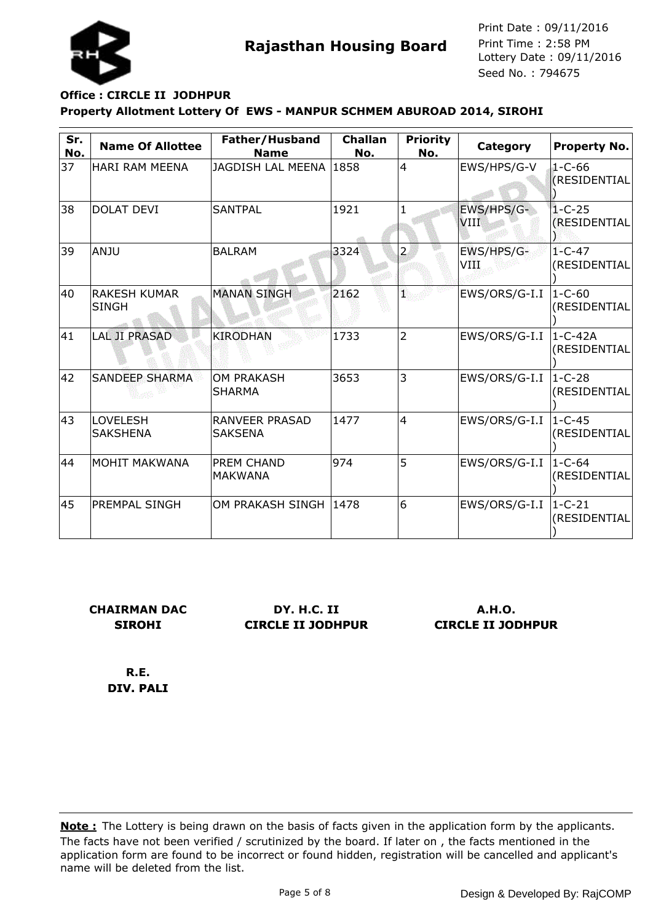

### **Property Allotment Lottery Of EWS - MANPUR SCHMEM ABUROAD 2014, SIROHI Office : CIRCLE II JODHPUR**

| Sr.<br>No. | <b>Name Of Allottee</b>              | Father/Husband<br><b>Name</b>           | <b>Challan</b><br>No. | <b>Priority</b><br>No. | Category                  | <b>Property No.</b>             |
|------------|--------------------------------------|-----------------------------------------|-----------------------|------------------------|---------------------------|---------------------------------|
| 37         | <b>HARI RAM MEENA</b>                | JAGDISH LAL MEENA                       | 1858                  | $\overline{4}$         | EWS/HPS/G-V               | $1 - C - 66$<br>(RESIDENTIAL    |
| 38         | <b>DOLAT DEVI</b>                    | <b>SANTPAL</b>                          | 1921                  |                        | EWS/HPS/G-<br><b>VIII</b> | $1 - C - 25$<br>(RESIDENTIAL    |
| 39         | ANJU                                 | <b>BALRAM</b>                           | 3324                  | $\overline{2}$         | EWS/HPS/G-<br>VIII        | $1 - C - 47$<br>(RESIDENTIAL    |
| 40         | <b>IRAKESH KUMAR</b><br><b>SINGH</b> | <b>MANAN SINGH</b>                      | 2162                  | ŋ.                     | EWS/ORS/G-I.I             | $1 - C - 60$<br>(RESIDENTIAL    |
| 41         | <b>LAL JI PRASAD</b>                 | <b>KIRODHAN</b>                         | 1733                  | $\overline{2}$         | EWS/ORS/G-I.I             | $ 1 - C - 42A $<br>(RESIDENTIAL |
| 42         | <b>SANDEEP SHARMA</b>                | <b>OM PRAKASH</b><br><b>SHARMA</b>      | 3653                  | 3                      | EWS/ORS/G-I.I             | $1 - C - 28$<br>(RESIDENTIAL    |
| 43         | <b>LOVELESH</b><br><b>SAKSHENA</b>   | <b>RANVEER PRASAD</b><br><b>SAKSENA</b> | 1477                  | $\overline{4}$         | EWS/ORS/G-I.I             | $1 - C - 45$<br>(RESIDENTIAL    |
| 44         | <b>MOHIT MAKWANA</b>                 | <b>PREM CHAND</b><br><b>MAKWANA</b>     | 974                   | 5                      | EWS/ORS/G-I.I             | $1-C-64$<br>(RESIDENTIAL        |
| 45         | <b>PREMPAL SINGH</b>                 | OM PRAKASH SINGH                        | 1478                  | 6                      | EWS/ORS/G-I.I             | $1 - C - 21$<br>(RESIDENTIAL    |

**CHAIRMAN DAC SIROHI**

**DY. H.C. II CIRCLE II JODHPUR**

**A.H.O. CIRCLE II JODHPUR**

**R.E. DIV. PALI**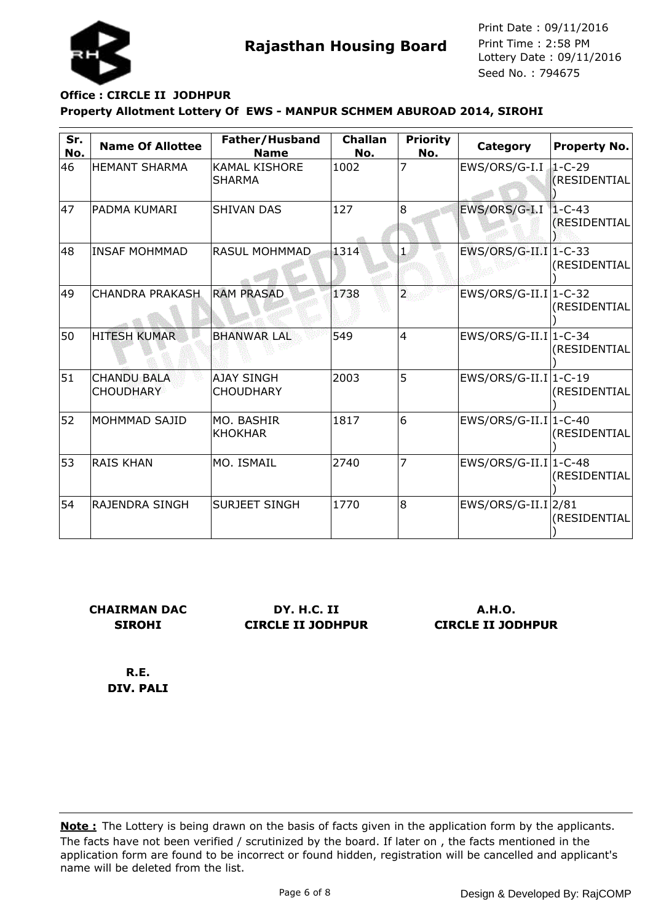

### **Property Allotment Lottery Of EWS - MANPUR SCHMEM ABUROAD 2014, SIROHI Office : CIRCLE II JODHPUR**

| Sr.<br>No. | <b>Name Of Allottee</b>                | Father/Husband<br><b>Name</b>         | <b>Challan</b><br>No. | <b>Priority</b><br>No. | Category                | <b>Property No.</b>          |
|------------|----------------------------------------|---------------------------------------|-----------------------|------------------------|-------------------------|------------------------------|
| 46         | <b>HEMANT SHARMA</b>                   | <b>KAMAL KISHORE</b><br><b>SHARMA</b> | 1002                  | 7                      | EWS/ORS/G-I.I           | $1 - C - 29$<br>(RESIDENTIAL |
| 47         | lpadma kumari                          | <b>SHIVAN DAS</b>                     | 127                   | 8                      | EWS/ORS/G-I.I           | $1 - C - 43$<br>(RESIDENTIAL |
| 48         | INSAF MOHMMAD                          | <b>RASUL MOHMMAD</b>                  | 1314                  | $\mathbf{1}$           | $EWS/ORS/G-II.I 1-C-33$ | (RESIDENTIAL                 |
| 49         | <b>CHANDRA PRAKASH</b>                 | <b>RAM PRASAD</b>                     | 1738                  | $\overline{2}$         | $EWS/ORS/G-II.I 1-C-32$ | (RESIDENTIAL                 |
| 50         | <b>HITESH KUMAR</b>                    | <b>BHANWAR LAL</b>                    | 549                   | $\overline{4}$         | $EWS/ORS/G-II.I 1-C-34$ | (RESIDENTIAL                 |
| 51         | <b>CHANDU BALA</b><br><b>CHOUDHARY</b> | <b>AJAY SINGH</b><br><b>CHOUDHARY</b> | 2003                  | 5                      | $EWS/ORS/G-II.I 1-C-19$ | (RESIDENTIAL                 |
| 52         | MOHMMAD SAJID                          | MO. BASHIR<br><b>KHOKHAR</b>          | 1817                  | 6                      | $EWS/ORS/G-II.I 1-C-40$ | (RESIDENTIAL                 |
| 53         | <b>RAIS KHAN</b>                       | MO. ISMAIL                            | 2740                  | $\overline{7}$         | $EWS/ORS/G-II.I 1-C-48$ | (RESIDENTIAL                 |
| 54         | <b>RAJENDRA SINGH</b>                  | <b>SURJEET SINGH</b>                  | 1770                  | l8                     | $EWS/ORS/G-II.I 2/81$   | (RESIDENTIAL                 |

**CHAIRMAN DAC SIROHI**

**DY. H.C. II CIRCLE II JODHPUR**

**A.H.O. CIRCLE II JODHPUR**

**R.E. DIV. PALI**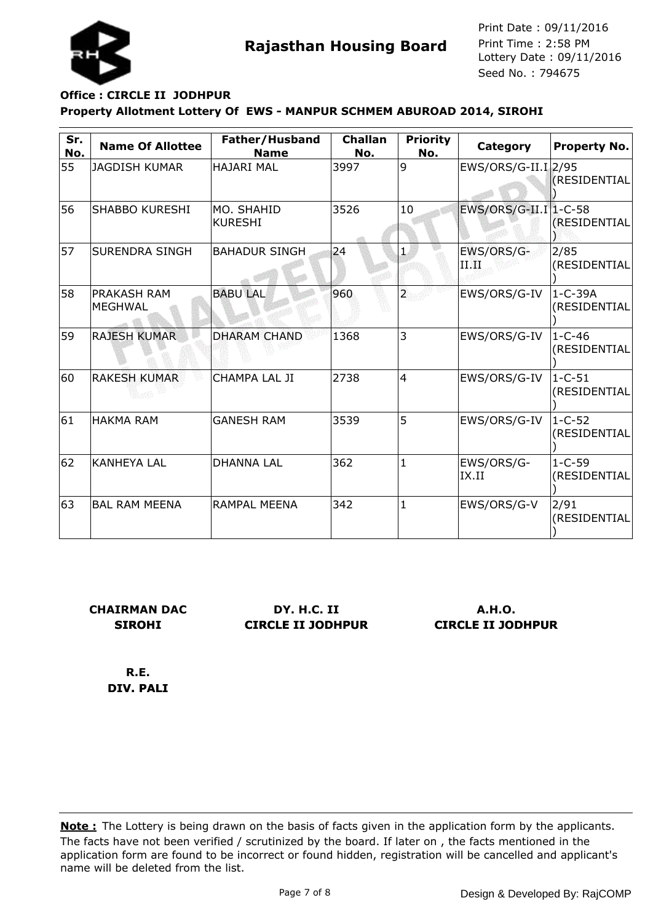

### **Property Allotment Lottery Of EWS - MANPUR SCHMEM ABUROAD 2014, SIROHI Office : CIRCLE II JODHPUR**

| Sr.<br>No. | <b>Name Of Allottee</b>              | Father/Husband<br><b>Name</b> | <b>Challan</b><br>No. | <b>Priority</b><br>No.  | Category              | <b>Property No.</b>           |
|------------|--------------------------------------|-------------------------------|-----------------------|-------------------------|-----------------------|-------------------------------|
| 55         | <b>JAGDISH KUMAR</b>                 | <b>HAJARI MAL</b>             | 3997                  | 9                       | EWS/ORS/G-II.I 2/95   | <b>(RESIDENTIAL</b>           |
| 56         | <b>SHABBO KURESHI</b>                | IMO. SHAHID<br><b>KURESHI</b> | 3526                  | 10                      | EWS/ORS/G-II.I 1-C-58 | (RESIDENTIAL                  |
| 57         | <b>SURENDRA SINGH</b>                | <b>BAHADUR SINGH</b>          | 24                    | 1.                      | EWS/ORS/G-<br>II I).  | 2/85<br>(RESIDENTIAL          |
| 58         | <b>PRAKASH RAM</b><br><b>MEGHWAL</b> | <b>BABU LAL</b>               | 960                   | $\overline{\mathbf{2}}$ | EWS/ORS/G-IV          | $1 - C - 39A$<br>(RESIDENTIAL |
| 59         | <b>RAJESH KUMAR</b>                  | <b>DHARAM CHAND</b>           | 1368                  | 3                       | EWS/ORS/G-IV          | $1 - C - 46$<br>(RESIDENTIAL  |
| 60         | <b>RAKESH KUMAR</b>                  | CHAMPA LAL JI                 | 2738                  | 4                       | EWS/ORS/G-IV          | $1 - C - 51$<br>(RESIDENTIAL  |
| 61         | <b>HAKMA RAM</b>                     | <b>GANESH RAM</b>             | 3539                  | 5                       | EWS/ORS/G-IV          | $1 - C - 52$<br>(RESIDENTIAL  |
| 62         | <b>KANHEYA LAL</b>                   | <b>DHANNA LAL</b>             | 362                   | $\mathbf{1}$            | EWS/ORS/G-<br>IX.II   | $1 - C - 59$<br>(RESIDENTIAL  |
| 63         | <b>BAL RAM MEENA</b>                 | <b>RAMPAL MEENA</b>           | 342                   | $\mathbf{1}$            | EWS/ORS/G-V           | 2/91<br>(RESIDENTIAL          |

**CHAIRMAN DAC SIROHI**

**DY. H.C. II CIRCLE II JODHPUR**

**A.H.O. CIRCLE II JODHPUR**

**R.E. DIV. PALI**